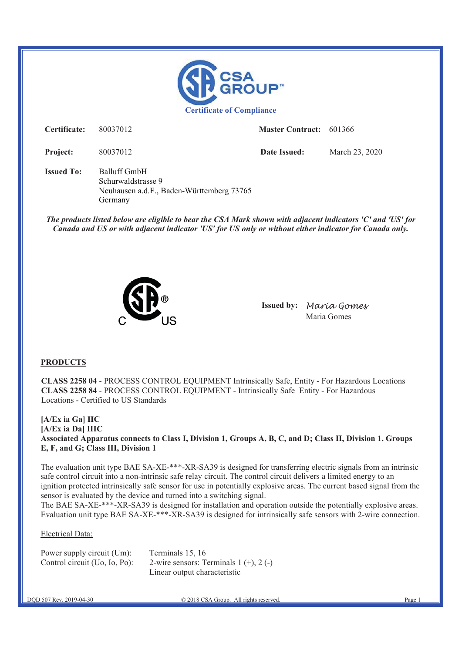

**Certificate:** 80037012 **Master Contract:** 601366

**Project:** 80037012 **Date Issued:** March 23, 2020

**Issued To:** Balluff GmbH Schurwaldstrasse 9 Neuhausen a.d.F., Baden-Württemberg 73765 Germany

*The products listed below are eligible to bear the CSA Mark shown with adjacent indicators 'C' and 'US' for Canada and US or with adjacent indicator 'US' for US only or without either indicator for Canada only.* 



**Issued by:** Maria Gomes Maria Gomes

### **PRODUCTS**

**CLASS 2258 04** - PROCESS CONTROL EQUIPMENT Intrinsically Safe, Entity - For Hazardous Locations **CLASS 2258 84** - PROCESS CONTROL EQUIPMENT - Intrinsically Safe Entity - For Hazardous Locations - Certified to US Standards

**[A/Ex ia Ga] IIC [A/Ex ia Da] IIIC Associated Apparatus connects to Class I, Division 1, Groups A, B, C, and D; Class II, Division 1, Groups E, F, and G; Class III, Division 1** 

The evaluation unit type BAE SA-XE-\*\*\*-XR-SA39 is designed for transferring electric signals from an intrinsic safe control circuit into a non-intrinsic safe relay circuit. The control circuit delivers a limited energy to an ignition protected intrinsically safe sensor for use in potentially explosive areas. The current based signal from the sensor is evaluated by the device and turned into a switching signal.

The BAE SA-XE-\*\*\*-XR-SA39 is designed for installation and operation outside the potentially explosive areas. Evaluation unit type BAE SA-XE-\*\*\*-XR-SA39 is designed for intrinsically safe sensors with 2-wire connection.

#### Electrical Data:

| Power supply circuit (Um):    | Terminals 15, 16                            |
|-------------------------------|---------------------------------------------|
| Control circuit (Uo, Io, Po): | 2-wire sensors: Terminals $1 (+)$ , $2 (-)$ |
|                               | Linear output characteristic                |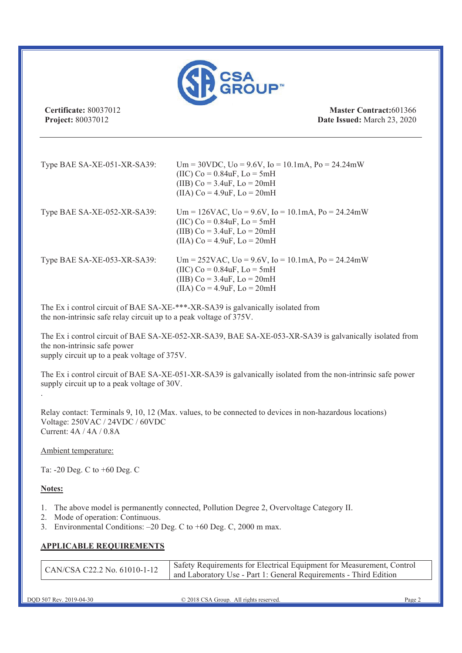

**Certificate:** 80037012 **Project:** 80037012

**Master Contract:**601366 **Date Issued:** March 23, 2020

| Type BAE SA-XE-051-XR-SA39: | Um = 30VDC, $U_0$ = 9.6V, $I_0$ = 10.1mA, $P_0$ = 24.24mW<br>(IIC) Co = $0.84$ uF, Lo = $5$ mH<br>(IIB) $Co = 3.4uF$ , $Lo = 20mH$<br>(IIA) $Co = 4.9uF$ , $Lo = 20mH$   |
|-----------------------------|--------------------------------------------------------------------------------------------------------------------------------------------------------------------------|
| Type BAE SA-XE-052-XR-SA39: | Um = 126VAC, Uo = 9.6V, Io = 10.1mA, Po = 24.24mW<br>(IIC) Co = $0.84$ uF, Lo = $5$ mH<br>(IIB) $Co = 3.4uF$ , $Lo = 20mH$<br>(IIA) $Co = 4.9uF$ , $Lo = 20mH$           |
| Type BAE SA-XE-053-XR-SA39: | $Um = 252VAC$ , $Uo = 9.6V$ , $Io = 10.1mA$ , $Po = 24.24mW$<br>(IIC) $Co = 0.84uF$ , $Lo = 5mH$<br>(IIB) $Co = 3.4uF$ , $Lo = 20mH$<br>(IIA) $Co = 4.9uF$ , $Lo = 20mH$ |

The Ex i control circuit of BAE SA-XE-\*\*\*-XR-SA39 is galvanically isolated from the non-intrinsic safe relay circuit up to a peak voltage of 375V.

The Ex i control circuit of BAE SA-XE-052-XR-SA39, BAE SA-XE-053-XR-SA39 is galvanically isolated from the non-intrinsic safe power supply circuit up to a peak voltage of 375V.

The Ex i control circuit of BAE SA-XE-051-XR-SA39 is galvanically isolated from the non-intrinsic safe power supply circuit up to a peak voltage of 30V.

Relay contact: Terminals 9, 10, 12 (Max. values, to be connected to devices in non-hazardous locations) Voltage: 250VAC / 24VDC / 60VDC Current: 4A / 4A / 0.8A

Ambient temperature:

Ta: -20 Deg. C to +60 Deg. C

### **Notes:**

.

- 1. The above model is permanently connected, Pollution Degree 2, Overvoltage Category II.
- 2. Mode of operation: Continuous.
- 3. Environmental Conditions: –20 Deg. C to +60 Deg. C, 2000 m max.

### **APPLICABLE REQUIREMENTS**

|  | CAN/CSA C22.2 No. 61010-1-12 | Safety Requirements for Electrical Equipment for Measurement, Control<br>and Laboratory Use - Part 1: General Requirements - Third Edition |
|--|------------------------------|--------------------------------------------------------------------------------------------------------------------------------------------|
|--|------------------------------|--------------------------------------------------------------------------------------------------------------------------------------------|